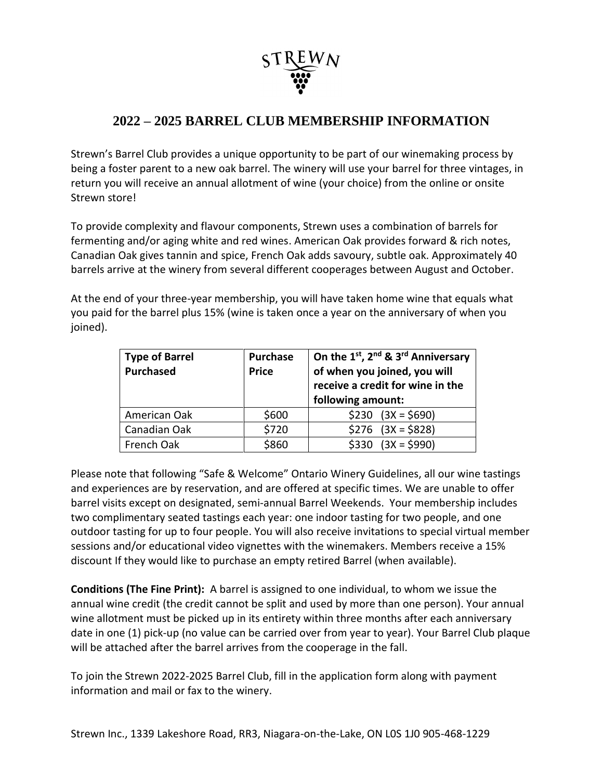

## **2022 – 2025 BARREL CLUB MEMBERSHIP INFORMATION**

Strewn's Barrel Club provides a unique opportunity to be part of our winemaking process by being a foster parent to a new oak barrel. The winery will use your barrel for three vintages, in return you will receive an annual allotment of wine (your choice) from the online or onsite Strewn store!

To provide complexity and flavour components, Strewn uses a combination of barrels for fermenting and/or aging white and red wines. American Oak provides forward & rich notes, Canadian Oak gives tannin and spice, French Oak adds savoury, subtle oak. Approximately 40 barrels arrive at the winery from several different cooperages between August and October.

At the end of your three-year membership, you will have taken home wine that equals what you paid for the barrel plus 15% (wine is taken once a year on the anniversary of when you joined).

| <b>Type of Barrel</b><br><b>Purchased</b> | Purchase<br><b>Price</b> | On the 1st, 2nd & 3rd Anniversary<br>of when you joined, you will<br>receive a credit for wine in the<br>following amount: |  |
|-------------------------------------------|--------------------------|----------------------------------------------------------------------------------------------------------------------------|--|
| American Oak                              | \$600                    | $$230$ $(3X = $690)$                                                                                                       |  |
| Canadian Oak                              | \$720                    | $$276$ $(3X = $828)$                                                                                                       |  |
| French Oak                                | \$860                    | $(3X = $990)$<br>\$330                                                                                                     |  |

Please note that following "Safe & Welcome" Ontario Winery Guidelines, all our wine tastings and experiences are by reservation, and are offered at specific times. We are unable to offer barrel visits except on designated, semi-annual Barrel Weekends. Your membership includes two complimentary seated tastings each year: one indoor tasting for two people, and one outdoor tasting for up to four people. You will also receive invitations to special virtual member sessions and/or educational video vignettes with the winemakers. Members receive a 15% discount If they would like to purchase an empty retired Barrel (when available).

**Conditions (The Fine Print):** A barrel is assigned to one individual, to whom we issue the annual wine credit (the credit cannot be split and used by more than one person). Your annual wine allotment must be picked up in its entirety within three months after each anniversary date in one (1) pick-up (no value can be carried over from year to year). Your Barrel Club plaque will be attached after the barrel arrives from the cooperage in the fall.

To join the Strewn 2022-2025 Barrel Club, fill in the application form along with payment information and mail or fax to the winery.